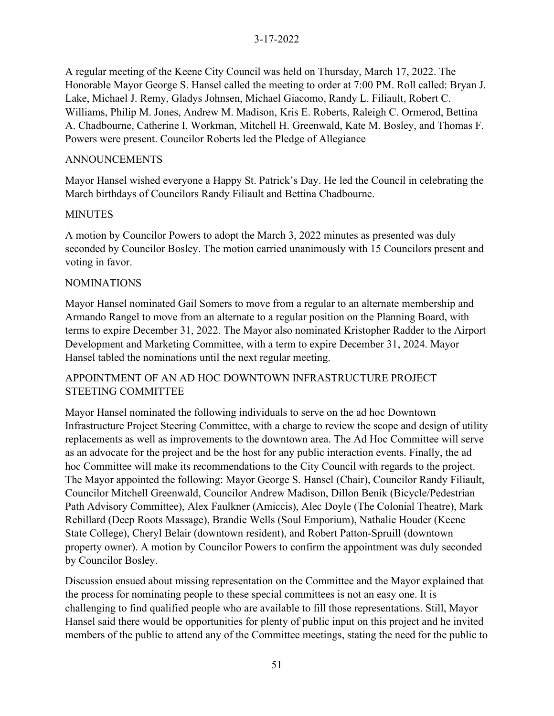A regular meeting of the Keene City Council was held on Thursday, March 17, 2022. The Honorable Mayor George S. Hansel called the meeting to order at 7:00 PM. Roll called: Bryan J. Lake, Michael J. Remy, Gladys Johnsen, Michael Giacomo, Randy L. Filiault, Robert C. Williams, Philip M. Jones, Andrew M. Madison, Kris E. Roberts, Raleigh C. Ormerod, Bettina A. Chadbourne, Catherine I. Workman, Mitchell H. Greenwald, Kate M. Bosley, and Thomas F. Powers were present. Councilor Roberts led the Pledge of Allegiance

#### ANNOUNCEMENTS

Mayor Hansel wished everyone a Happy St. Patrick's Day. He led the Council in celebrating the March birthdays of Councilors Randy Filiault and Bettina Chadbourne.

#### MINUTES

A motion by Councilor Powers to adopt the March 3, 2022 minutes as presented was duly seconded by Councilor Bosley. The motion carried unanimously with 15 Councilors present and voting in favor.

#### NOMINATIONS

Mayor Hansel nominated Gail Somers to move from a regular to an alternate membership and Armando Rangel to move from an alternate to a regular position on the Planning Board, with terms to expire December 31, 2022. The Mayor also nominated Kristopher Radder to the Airport Development and Marketing Committee, with a term to expire December 31, 2024. Mayor Hansel tabled the nominations until the next regular meeting.

## APPOINTMENT OF AN AD HOC DOWNTOWN INFRASTRUCTURE PROJECT STEETING COMMITTEE

Mayor Hansel nominated the following individuals to serve on the ad hoc Downtown Infrastructure Project Steering Committee, with a charge to review the scope and design of utility replacements as well as improvements to the downtown area. The Ad Hoc Committee will serve as an advocate for the project and be the host for any public interaction events. Finally, the ad hoc Committee will make its recommendations to the City Council with regards to the project. The Mayor appointed the following: Mayor George S. Hansel (Chair), Councilor Randy Filiault, Councilor Mitchell Greenwald, Councilor Andrew Madison, Dillon Benik (Bicycle/Pedestrian Path Advisory Committee), Alex Faulkner (Amiccis), Alec Doyle (The Colonial Theatre), Mark Rebillard (Deep Roots Massage), Brandie Wells (Soul Emporium), Nathalie Houder (Keene State College), Cheryl Belair (downtown resident), and Robert Patton-Spruill (downtown property owner). A motion by Councilor Powers to confirm the appointment was duly seconded by Councilor Bosley.

Discussion ensued about missing representation on the Committee and the Mayor explained that the process for nominating people to these special committees is not an easy one. It is challenging to find qualified people who are available to fill those representations. Still, Mayor Hansel said there would be opportunities for plenty of public input on this project and he invited members of the public to attend any of the Committee meetings, stating the need for the public to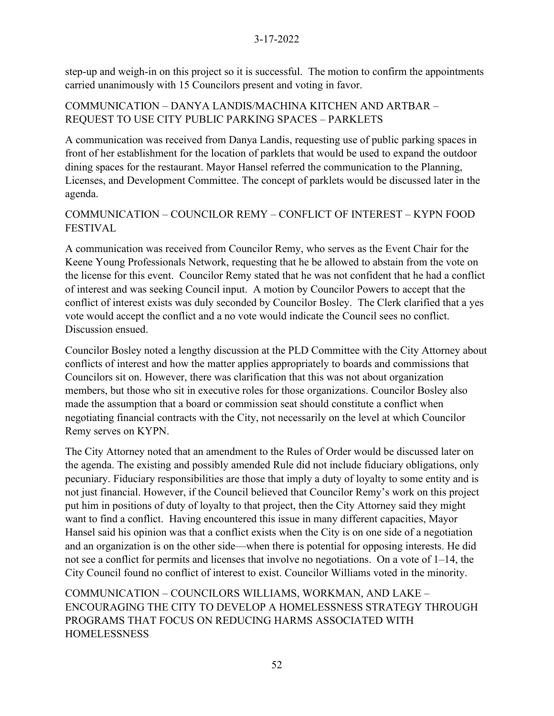step-up and weigh-in on this project so it is successful. The motion to confirm the appointments carried unanimously with 15 Councilors present and voting in favor.

# COMMUNICATION – DANYA LANDIS/MACHINA KITCHEN AND ARTBAR – REQUEST TO USE CITY PUBLIC PARKING SPACES – PARKLETS

A communication was received from Danya Landis, requesting use of public parking spaces in front of her establishment for the location of parklets that would be used to expand the outdoor dining spaces for the restaurant. Mayor Hansel referred the communication to the Planning, Licenses, and Development Committee. The concept of parklets would be discussed later in the agenda.

# COMMUNICATION – COUNCILOR REMY – CONFLICT OF INTEREST – KYPN FOOD FESTIVAL

A communication was received from Councilor Remy, who serves as the Event Chair for the Keene Young Professionals Network, requesting that he be allowed to abstain from the vote on the license for this event. Councilor Remy stated that he was not confident that he had a conflict of interest and was seeking Council input. A motion by Councilor Powers to accept that the conflict of interest exists was duly seconded by Councilor Bosley. The Clerk clarified that a yes vote would accept the conflict and a no vote would indicate the Council sees no conflict. Discussion ensued.

Councilor Bosley noted a lengthy discussion at the PLD Committee with the City Attorney about conflicts of interest and how the matter applies appropriately to boards and commissions that Councilors sit on. However, there was clarification that this was not about organization members, but those who sit in executive roles for those organizations. Councilor Bosley also made the assumption that a board or commission seat should constitute a conflict when negotiating financial contracts with the City, not necessarily on the level at which Councilor Remy serves on KYPN.

The City Attorney noted that an amendment to the Rules of Order would be discussed later on the agenda. The existing and possibly amended Rule did not include fiduciary obligations, only pecuniary. Fiduciary responsibilities are those that imply a duty of loyalty to some entity and is not just financial. However, if the Council believed that Councilor Remy's work on this project put him in positions of duty of loyalty to that project, then the City Attorney said they might want to find a conflict. Having encountered this issue in many different capacities, Mayor Hansel said his opinion was that a conflict exists when the City is on one side of a negotiation and an organization is on the other side—when there is potential for opposing interests. He did not see a conflict for permits and licenses that involve no negotiations. On a vote of  $1-14$ , the City Council found no conflict of interest to exist. Councilor Williams voted in the minority.

COMMUNICATION – COUNCILORS WILLIAMS, WORKMAN, AND LAKE – ENCOURAGING THE CITY TO DEVELOP A HOMELESSNESS STRATEGY THROUGH PROGRAMS THAT FOCUS ON REDUCING HARMS ASSOCIATED WITH HOMELESSNESS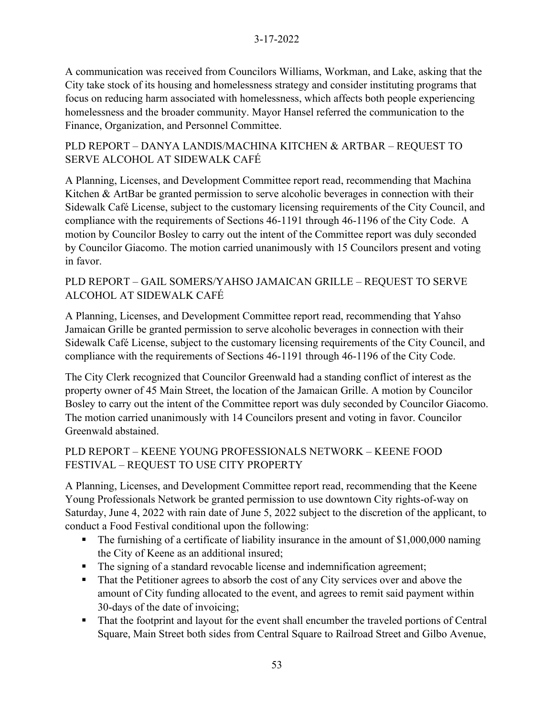A communication was received from Councilors Williams, Workman, and Lake, asking that the City take stock of its housing and homelessness strategy and consider instituting programs that focus on reducing harm associated with homelessness, which affects both people experiencing homelessness and the broader community. Mayor Hansel referred the communication to the Finance, Organization, and Personnel Committee.

## PLD REPORT – DANYA LANDIS/MACHINA KITCHEN & ARTBAR – REQUEST TO SERVE ALCOHOL AT SIDEWALK CAFÉ

A Planning, Licenses, and Development Committee report read, recommending that Machina Kitchen & ArtBar be granted permission to serve alcoholic beverages in connection with their Sidewalk Café License, subject to the customary licensing requirements of the City Council, and compliance with the requirements of Sections 46-1191 through 46-1196 of the City Code. A motion by Councilor Bosley to carry out the intent of the Committee report was duly seconded by Councilor Giacomo. The motion carried unanimously with 15 Councilors present and voting in favor.

# PLD REPORT – GAIL SOMERS/YAHSO JAMAICAN GRILLE – REQUEST TO SERVE ALCOHOL AT SIDEWALK CAFÉ

A Planning, Licenses, and Development Committee report read, recommending that Yahso Jamaican Grille be granted permission to serve alcoholic beverages in connection with their Sidewalk Café License, subject to the customary licensing requirements of the City Council, and compliance with the requirements of Sections 46-1191 through 46-1196 of the City Code.

The City Clerk recognized that Councilor Greenwald had a standing conflict of interest as the property owner of 45 Main Street, the location of the Jamaican Grille. A motion by Councilor Bosley to carry out the intent of the Committee report was duly seconded by Councilor Giacomo. The motion carried unanimously with 14 Councilors present and voting in favor. Councilor Greenwald abstained.

# PLD REPORT – KEENE YOUNG PROFESSIONALS NETWORK – KEENE FOOD FESTIVAL – REQUEST TO USE CITY PROPERTY

A Planning, Licenses, and Development Committee report read, recommending that the Keene Young Professionals Network be granted permission to use downtown City rights-of-way on Saturday, June 4, 2022 with rain date of June 5, 2022 subject to the discretion of the applicant, to conduct a Food Festival conditional upon the following:

- The furnishing of a certificate of liability insurance in the amount of \$1,000,000 naming the City of Keene as an additional insured;
- **•** The signing of a standard revocable license and indemnification agreement;
- That the Petitioner agrees to absorb the cost of any City services over and above the amount of City funding allocated to the event, and agrees to remit said payment within 30-days of the date of invoicing;
- That the footprint and layout for the event shall encumber the traveled portions of Central Square, Main Street both sides from Central Square to Railroad Street and Gilbo Avenue,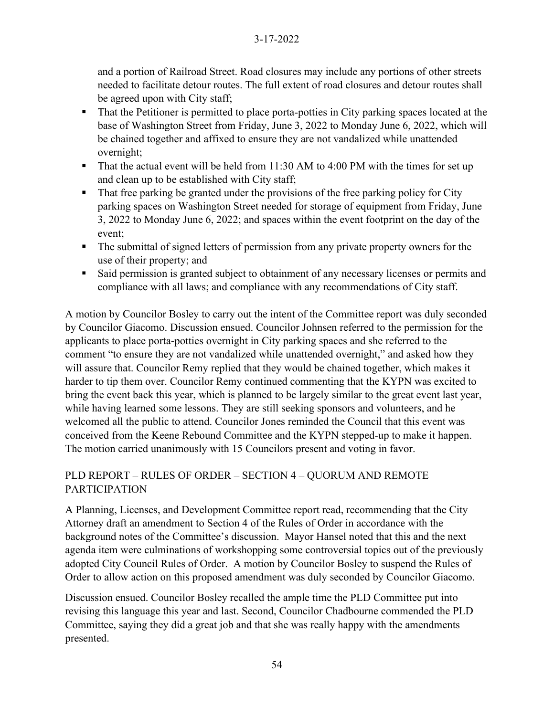and a portion of Railroad Street. Road closures may include any portions of other streets needed to facilitate detour routes. The full extent of road closures and detour routes shall be agreed upon with City staff;

- That the Petitioner is permitted to place porta-potties in City parking spaces located at the base of Washington Street from Friday, June 3, 2022 to Monday June 6, 2022, which will be chained together and affixed to ensure they are not vandalized while unattended overnight;
- That the actual event will be held from 11:30 AM to 4:00 PM with the times for set up and clean up to be established with City staff;
- That free parking be granted under the provisions of the free parking policy for City parking spaces on Washington Street needed for storage of equipment from Friday, June 3, 2022 to Monday June 6, 2022; and spaces within the event footprint on the day of the event;
- The submittal of signed letters of permission from any private property owners for the use of their property; and
- Said permission is granted subject to obtainment of any necessary licenses or permits and compliance with all laws; and compliance with any recommendations of City staff.

A motion by Councilor Bosley to carry out the intent of the Committee report was duly seconded by Councilor Giacomo. Discussion ensued. Councilor Johnsen referred to the permission for the applicants to place porta-potties overnight in City parking spaces and she referred to the comment "to ensure they are not vandalized while unattended overnight," and asked how they will assure that. Councilor Remy replied that they would be chained together, which makes it harder to tip them over. Councilor Remy continued commenting that the KYPN was excited to bring the event back this year, which is planned to be largely similar to the great event last year, while having learned some lessons. They are still seeking sponsors and volunteers, and he welcomed all the public to attend. Councilor Jones reminded the Council that this event was conceived from the Keene Rebound Committee and the KYPN stepped-up to make it happen. The motion carried unanimously with 15 Councilors present and voting in favor.

# PLD REPORT – RULES OF ORDER – SECTION 4 – QUORUM AND REMOTE PARTICIPATION

A Planning, Licenses, and Development Committee report read, recommending that the City Attorney draft an amendment to Section 4 of the Rules of Order in accordance with the background notes of the Committee's discussion. Mayor Hansel noted that this and the next agenda item were culminations of workshopping some controversial topics out of the previously adopted City Council Rules of Order. A motion by Councilor Bosley to suspend the Rules of Order to allow action on this proposed amendment was duly seconded by Councilor Giacomo.

Discussion ensued. Councilor Bosley recalled the ample time the PLD Committee put into revising this language this year and last. Second, Councilor Chadbourne commended the PLD Committee, saying they did a great job and that she was really happy with the amendments presented.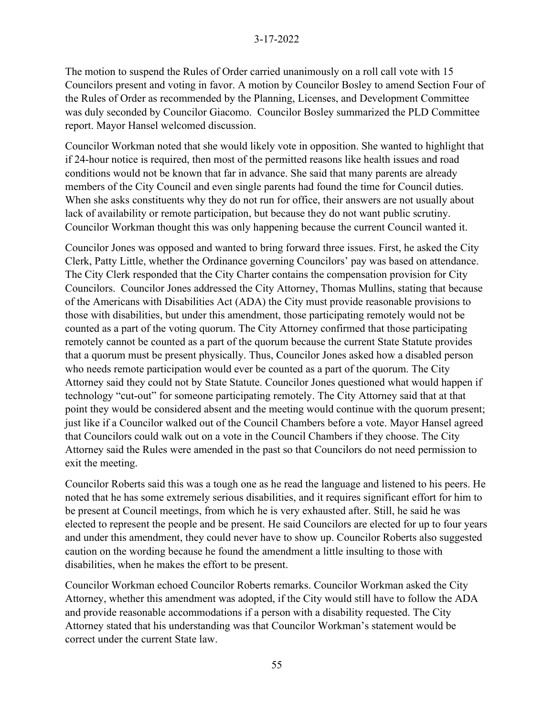The motion to suspend the Rules of Order carried unanimously on a roll call vote with 15 Councilors present and voting in favor. A motion by Councilor Bosley to amend Section Four of the Rules of Order as recommended by the Planning, Licenses, and Development Committee was duly seconded by Councilor Giacomo. Councilor Bosley summarized the PLD Committee report. Mayor Hansel welcomed discussion.

Councilor Workman noted that she would likely vote in opposition. She wanted to highlight that if 24-hour notice is required, then most of the permitted reasons like health issues and road conditions would not be known that far in advance. She said that many parents are already members of the City Council and even single parents had found the time for Council duties. When she asks constituents why they do not run for office, their answers are not usually about lack of availability or remote participation, but because they do not want public scrutiny. Councilor Workman thought this was only happening because the current Council wanted it.

Councilor Jones was opposed and wanted to bring forward three issues. First, he asked the City Clerk, Patty Little, whether the Ordinance governing Councilors' pay was based on attendance. The City Clerk responded that the City Charter contains the compensation provision for City Councilors. Councilor Jones addressed the City Attorney, Thomas Mullins, stating that because of the Americans with Disabilities Act (ADA) the City must provide reasonable provisions to those with disabilities, but under this amendment, those participating remotely would not be counted as a part of the voting quorum. The City Attorney confirmed that those participating remotely cannot be counted as a part of the quorum because the current State Statute provides that a quorum must be present physically. Thus, Councilor Jones asked how a disabled person who needs remote participation would ever be counted as a part of the quorum. The City Attorney said they could not by State Statute. Councilor Jones questioned what would happen if technology "cut-out" for someone participating remotely. The City Attorney said that at that point they would be considered absent and the meeting would continue with the quorum present; just like if a Councilor walked out of the Council Chambers before a vote. Mayor Hansel agreed that Councilors could walk out on a vote in the Council Chambers if they choose. The City Attorney said the Rules were amended in the past so that Councilors do not need permission to exit the meeting.

Councilor Roberts said this was a tough one as he read the language and listened to his peers. He noted that he has some extremely serious disabilities, and it requires significant effort for him to be present at Council meetings, from which he is very exhausted after. Still, he said he was elected to represent the people and be present. He said Councilors are elected for up to four years and under this amendment, they could never have to show up. Councilor Roberts also suggested caution on the wording because he found the amendment a little insulting to those with disabilities, when he makes the effort to be present.

Councilor Workman echoed Councilor Roberts remarks. Councilor Workman asked the City Attorney, whether this amendment was adopted, if the City would still have to follow the ADA and provide reasonable accommodations if a person with a disability requested. The City Attorney stated that his understanding was that Councilor Workman's statement would be correct under the current State law.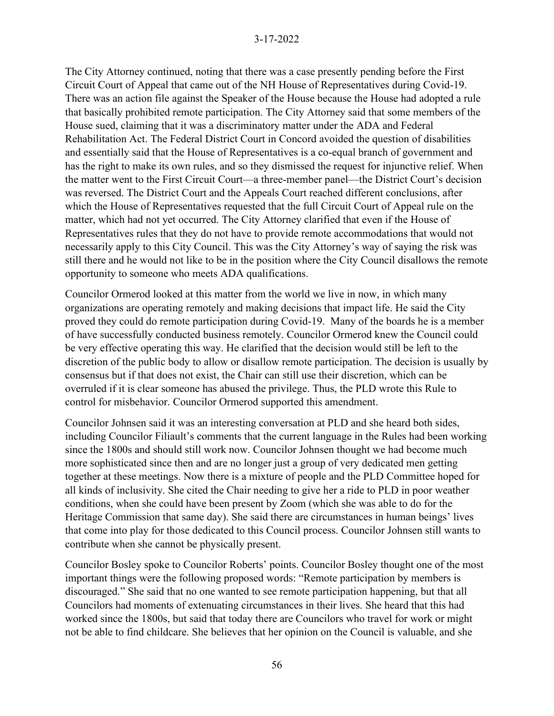The City Attorney continued, noting that there was a case presently pending before the First Circuit Court of Appeal that came out of the NH House of Representatives during Covid-19. There was an action file against the Speaker of the House because the House had adopted a rule that basically prohibited remote participation. The City Attorney said that some members of the House sued, claiming that it was a discriminatory matter under the ADA and Federal Rehabilitation Act. The Federal District Court in Concord avoided the question of disabilities and essentially said that the House of Representatives is a co-equal branch of government and has the right to make its own rules, and so they dismissed the request for injunctive relief. When the matter went to the First Circuit Court—a three-member panel—the District Court's decision was reversed. The District Court and the Appeals Court reached different conclusions, after which the House of Representatives requested that the full Circuit Court of Appeal rule on the matter, which had not yet occurred. The City Attorney clarified that even if the House of Representatives rules that they do not have to provide remote accommodations that would not necessarily apply to this City Council. This was the City Attorney's way of saying the risk was still there and he would not like to be in the position where the City Council disallows the remote opportunity to someone who meets ADA qualifications.

Councilor Ormerod looked at this matter from the world we live in now, in which many organizations are operating remotely and making decisions that impact life. He said the City proved they could do remote participation during Covid-19. Many of the boards he is a member of have successfully conducted business remotely. Councilor Ormerod knew the Council could be very effective operating this way. He clarified that the decision would still be left to the discretion of the public body to allow or disallow remote participation. The decision is usually by consensus but if that does not exist, the Chair can still use their discretion, which can be overruled if it is clear someone has abused the privilege. Thus, the PLD wrote this Rule to control for misbehavior. Councilor Ormerod supported this amendment.

Councilor Johnsen said it was an interesting conversation at PLD and she heard both sides, including Councilor Filiault's comments that the current language in the Rules had been working since the 1800s and should still work now. Councilor Johnsen thought we had become much more sophisticated since then and are no longer just a group of very dedicated men getting together at these meetings. Now there is a mixture of people and the PLD Committee hoped for all kinds of inclusivity. She cited the Chair needing to give her a ride to PLD in poor weather conditions, when she could have been present by Zoom (which she was able to do for the Heritage Commission that same day). She said there are circumstances in human beings' lives that come into play for those dedicated to this Council process. Councilor Johnsen still wants to contribute when she cannot be physically present.

Councilor Bosley spoke to Councilor Roberts' points. Councilor Bosley thought one of the most important things were the following proposed words: "Remote participation by members is discouraged." She said that no one wanted to see remote participation happening, but that all Councilors had moments of extenuating circumstances in their lives. She heard that this had worked since the 1800s, but said that today there are Councilors who travel for work or might not be able to find childcare. She believes that her opinion on the Council is valuable, and she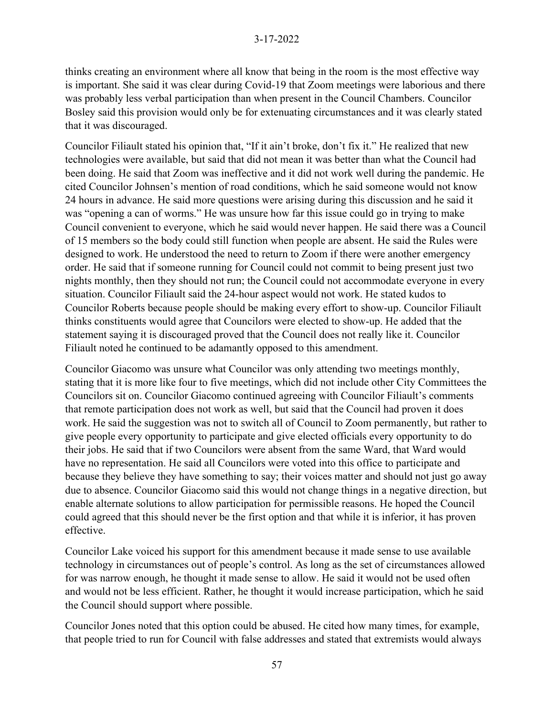thinks creating an environment where all know that being in the room is the most effective way is important. She said it was clear during Covid-19 that Zoom meetings were laborious and there was probably less verbal participation than when present in the Council Chambers. Councilor Bosley said this provision would only be for extenuating circumstances and it was clearly stated that it was discouraged.

Councilor Filiault stated his opinion that, "If it ain't broke, don't fix it." He realized that new technologies were available, but said that did not mean it was better than what the Council had been doing. He said that Zoom was ineffective and it did not work well during the pandemic. He cited Councilor Johnsen's mention of road conditions, which he said someone would not know 24 hours in advance. He said more questions were arising during this discussion and he said it was "opening a can of worms." He was unsure how far this issue could go in trying to make Council convenient to everyone, which he said would never happen. He said there was a Council of 15 members so the body could still function when people are absent. He said the Rules were designed to work. He understood the need to return to Zoom if there were another emergency order. He said that if someone running for Council could not commit to being present just two nights monthly, then they should not run; the Council could not accommodate everyone in every situation. Councilor Filiault said the 24-hour aspect would not work. He stated kudos to Councilor Roberts because people should be making every effort to show-up. Councilor Filiault thinks constituents would agree that Councilors were elected to show-up. He added that the statement saying it is discouraged proved that the Council does not really like it. Councilor Filiault noted he continued to be adamantly opposed to this amendment.

Councilor Giacomo was unsure what Councilor was only attending two meetings monthly, stating that it is more like four to five meetings, which did not include other City Committees the Councilors sit on. Councilor Giacomo continued agreeing with Councilor Filiault's comments that remote participation does not work as well, but said that the Council had proven it does work. He said the suggestion was not to switch all of Council to Zoom permanently, but rather to give people every opportunity to participate and give elected officials every opportunity to do their jobs. He said that if two Councilors were absent from the same Ward, that Ward would have no representation. He said all Councilors were voted into this office to participate and because they believe they have something to say; their voices matter and should not just go away due to absence. Councilor Giacomo said this would not change things in a negative direction, but enable alternate solutions to allow participation for permissible reasons. He hoped the Council could agreed that this should never be the first option and that while it is inferior, it has proven effective.

Councilor Lake voiced his support for this amendment because it made sense to use available technology in circumstances out of people's control. As long as the set of circumstances allowed for was narrow enough, he thought it made sense to allow. He said it would not be used often and would not be less efficient. Rather, he thought it would increase participation, which he said the Council should support where possible.

Councilor Jones noted that this option could be abused. He cited how many times, for example, that people tried to run for Council with false addresses and stated that extremists would always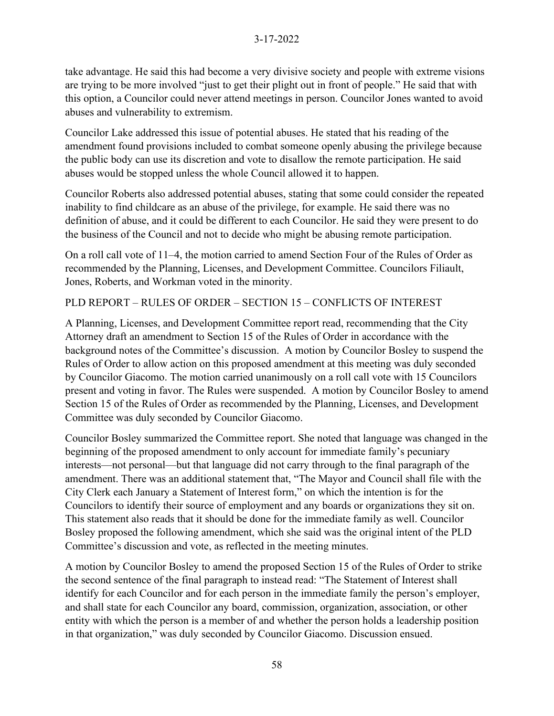take advantage. He said this had become a very divisive society and people with extreme visions are trying to be more involved "just to get their plight out in front of people." He said that with this option, a Councilor could never attend meetings in person. Councilor Jones wanted to avoid abuses and vulnerability to extremism.

Councilor Lake addressed this issue of potential abuses. He stated that his reading of the amendment found provisions included to combat someone openly abusing the privilege because the public body can use its discretion and vote to disallow the remote participation. He said abuses would be stopped unless the whole Council allowed it to happen.

Councilor Roberts also addressed potential abuses, stating that some could consider the repeated inability to find childcare as an abuse of the privilege, for example. He said there was no definition of abuse, and it could be different to each Councilor. He said they were present to do the business of the Council and not to decide who might be abusing remote participation.

On a roll call vote of 11–4, the motion carried to amend Section Four of the Rules of Order as recommended by the Planning, Licenses, and Development Committee. Councilors Filiault, Jones, Roberts, and Workman voted in the minority.

PLD REPORT – RULES OF ORDER – SECTION 15 – CONFLICTS OF INTEREST

A Planning, Licenses, and Development Committee report read, recommending that the City Attorney draft an amendment to Section 15 of the Rules of Order in accordance with the background notes of the Committee's discussion. A motion by Councilor Bosley to suspend the Rules of Order to allow action on this proposed amendment at this meeting was duly seconded by Councilor Giacomo. The motion carried unanimously on a roll call vote with 15 Councilors present and voting in favor. The Rules were suspended. A motion by Councilor Bosley to amend Section 15 of the Rules of Order as recommended by the Planning, Licenses, and Development Committee was duly seconded by Councilor Giacomo.

Councilor Bosley summarized the Committee report. She noted that language was changed in the beginning of the proposed amendment to only account for immediate family's pecuniary interests—not personal—but that language did not carry through to the final paragraph of the amendment. There was an additional statement that, "The Mayor and Council shall file with the City Clerk each January a Statement of Interest form," on which the intention is for the Councilors to identify their source of employment and any boards or organizations they sit on. This statement also reads that it should be done for the immediate family as well. Councilor Bosley proposed the following amendment, which she said was the original intent of the PLD Committee's discussion and vote, as reflected in the meeting minutes.

A motion by Councilor Bosley to amend the proposed Section 15 of the Rules of Order to strike the second sentence of the final paragraph to instead read: "The Statement of Interest shall identify for each Councilor and for each person in the immediate family the person's employer, and shall state for each Councilor any board, commission, organization, association, or other entity with which the person is a member of and whether the person holds a leadership position in that organization," was duly seconded by Councilor Giacomo. Discussion ensued.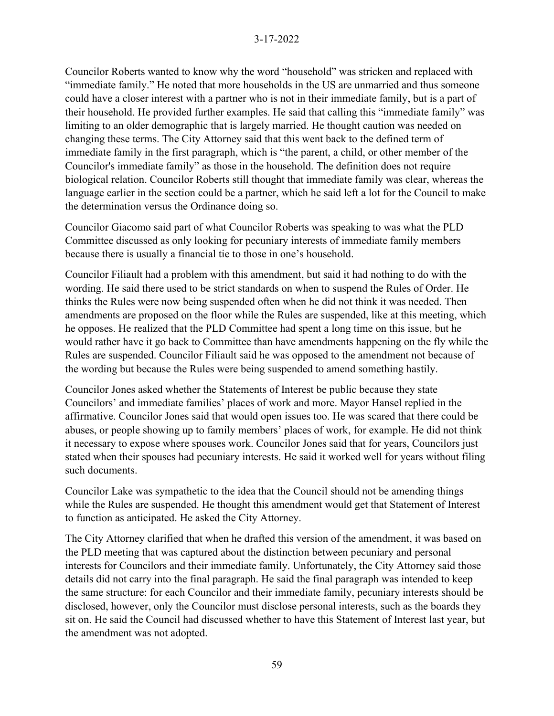Councilor Roberts wanted to know why the word "household" was stricken and replaced with "immediate family." He noted that more households in the US are unmarried and thus someone could have a closer interest with a partner who is not in their immediate family, but is a part of their household. He provided further examples. He said that calling this "immediate family" was limiting to an older demographic that is largely married. He thought caution was needed on changing these terms. The City Attorney said that this went back to the defined term of immediate family in the first paragraph, which is "the parent, a child, or other member of the Councilor's immediate family" as those in the household. The definition does not require biological relation. Councilor Roberts still thought that immediate family was clear, whereas the language earlier in the section could be a partner, which he said left a lot for the Council to make the determination versus the Ordinance doing so.

Councilor Giacomo said part of what Councilor Roberts was speaking to was what the PLD Committee discussed as only looking for pecuniary interests of immediate family members because there is usually a financial tie to those in one's household.

Councilor Filiault had a problem with this amendment, but said it had nothing to do with the wording. He said there used to be strict standards on when to suspend the Rules of Order. He thinks the Rules were now being suspended often when he did not think it was needed. Then amendments are proposed on the floor while the Rules are suspended, like at this meeting, which he opposes. He realized that the PLD Committee had spent a long time on this issue, but he would rather have it go back to Committee than have amendments happening on the fly while the Rules are suspended. Councilor Filiault said he was opposed to the amendment not because of the wording but because the Rules were being suspended to amend something hastily.

Councilor Jones asked whether the Statements of Interest be public because they state Councilors' and immediate families' places of work and more. Mayor Hansel replied in the affirmative. Councilor Jones said that would open issues too. He was scared that there could be abuses, or people showing up to family members' places of work, for example. He did not think it necessary to expose where spouses work. Councilor Jones said that for years, Councilors just stated when their spouses had pecuniary interests. He said it worked well for years without filing such documents.

Councilor Lake was sympathetic to the idea that the Council should not be amending things while the Rules are suspended. He thought this amendment would get that Statement of Interest to function as anticipated. He asked the City Attorney.

The City Attorney clarified that when he drafted this version of the amendment, it was based on the PLD meeting that was captured about the distinction between pecuniary and personal interests for Councilors and their immediate family. Unfortunately, the City Attorney said those details did not carry into the final paragraph. He said the final paragraph was intended to keep the same structure: for each Councilor and their immediate family, pecuniary interests should be disclosed, however, only the Councilor must disclose personal interests, such as the boards they sit on. He said the Council had discussed whether to have this Statement of Interest last year, but the amendment was not adopted.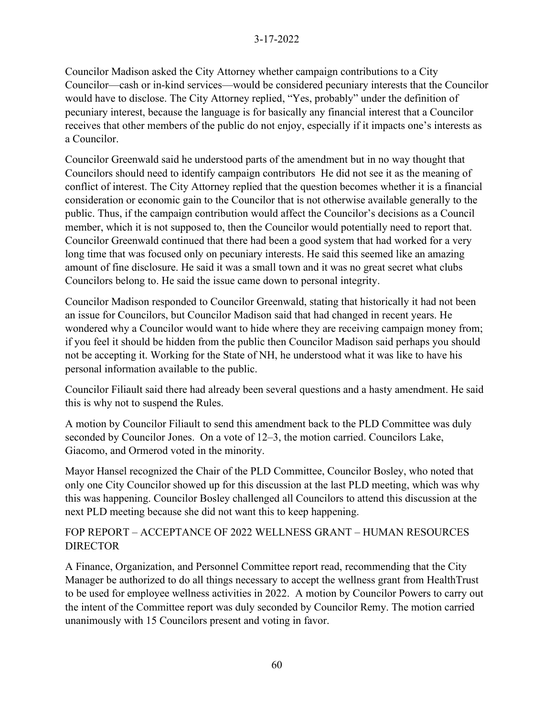Councilor Madison asked the City Attorney whether campaign contributions to a City Councilor—cash or in-kind services—would be considered pecuniary interests that the Councilor would have to disclose. The City Attorney replied, "Yes, probably" under the definition of pecuniary interest, because the language is for basically any financial interest that a Councilor receives that other members of the public do not enjoy, especially if it impacts one's interests as a Councilor.

Councilor Greenwald said he understood parts of the amendment but in no way thought that Councilors should need to identify campaign contributors He did not see it as the meaning of conflict of interest. The City Attorney replied that the question becomes whether it is a financial consideration or economic gain to the Councilor that is not otherwise available generally to the public. Thus, if the campaign contribution would affect the Councilor's decisions as a Council member, which it is not supposed to, then the Councilor would potentially need to report that. Councilor Greenwald continued that there had been a good system that had worked for a very long time that was focused only on pecuniary interests. He said this seemed like an amazing amount of fine disclosure. He said it was a small town and it was no great secret what clubs Councilors belong to. He said the issue came down to personal integrity.

Councilor Madison responded to Councilor Greenwald, stating that historically it had not been an issue for Councilors, but Councilor Madison said that had changed in recent years. He wondered why a Councilor would want to hide where they are receiving campaign money from; if you feel it should be hidden from the public then Councilor Madison said perhaps you should not be accepting it. Working for the State of NH, he understood what it was like to have his personal information available to the public.

Councilor Filiault said there had already been several questions and a hasty amendment. He said this is why not to suspend the Rules.

A motion by Councilor Filiault to send this amendment back to the PLD Committee was duly seconded by Councilor Jones. On a vote of 12–3, the motion carried. Councilors Lake, Giacomo, and Ormerod voted in the minority.

Mayor Hansel recognized the Chair of the PLD Committee, Councilor Bosley, who noted that only one City Councilor showed up for this discussion at the last PLD meeting, which was why this was happening. Councilor Bosley challenged all Councilors to attend this discussion at the next PLD meeting because she did not want this to keep happening.

FOP REPORT – ACCEPTANCE OF 2022 WELLNESS GRANT – HUMAN RESOURCES DIRECTOR

A Finance, Organization, and Personnel Committee report read, recommending that the City Manager be authorized to do all things necessary to accept the wellness grant from HealthTrust to be used for employee wellness activities in 2022. A motion by Councilor Powers to carry out the intent of the Committee report was duly seconded by Councilor Remy. The motion carried unanimously with 15 Councilors present and voting in favor.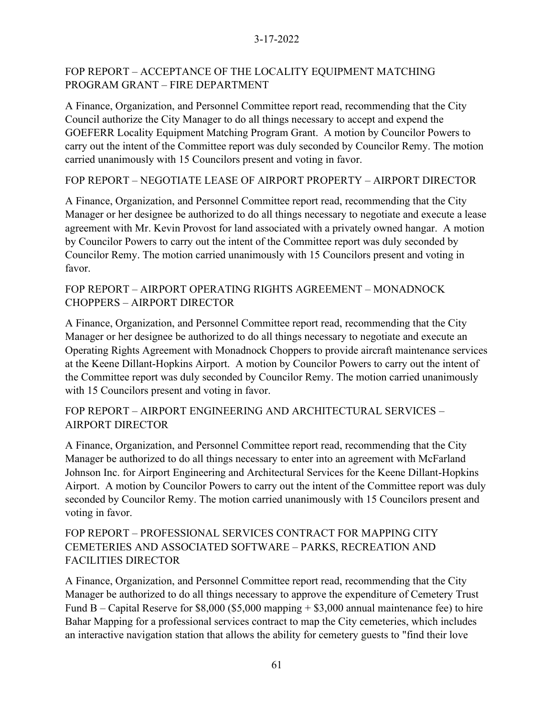## FOP REPORT – ACCEPTANCE OF THE LOCALITY EQUIPMENT MATCHING PROGRAM GRANT – FIRE DEPARTMENT

A Finance, Organization, and Personnel Committee report read, recommending that the City Council authorize the City Manager to do all things necessary to accept and expend the GOEFERR Locality Equipment Matching Program Grant. A motion by Councilor Powers to carry out the intent of the Committee report was duly seconded by Councilor Remy. The motion carried unanimously with 15 Councilors present and voting in favor.

FOP REPORT – NEGOTIATE LEASE OF AIRPORT PROPERTY – AIRPORT DIRECTOR

A Finance, Organization, and Personnel Committee report read, recommending that the City Manager or her designee be authorized to do all things necessary to negotiate and execute a lease agreement with Mr. Kevin Provost for land associated with a privately owned hangar. A motion by Councilor Powers to carry out the intent of the Committee report was duly seconded by Councilor Remy. The motion carried unanimously with 15 Councilors present and voting in favor.

## FOP REPORT – AIRPORT OPERATING RIGHTS AGREEMENT – MONADNOCK CHOPPERS – AIRPORT DIRECTOR

A Finance, Organization, and Personnel Committee report read, recommending that the City Manager or her designee be authorized to do all things necessary to negotiate and execute an Operating Rights Agreement with Monadnock Choppers to provide aircraft maintenance services at the Keene Dillant-Hopkins Airport. A motion by Councilor Powers to carry out the intent of the Committee report was duly seconded by Councilor Remy. The motion carried unanimously with 15 Councilors present and voting in favor.

## FOP REPORT – AIRPORT ENGINEERING AND ARCHITECTURAL SERVICES – AIRPORT DIRECTOR

A Finance, Organization, and Personnel Committee report read, recommending that the City Manager be authorized to do all things necessary to enter into an agreement with McFarland Johnson Inc. for Airport Engineering and Architectural Services for the Keene Dillant-Hopkins Airport. A motion by Councilor Powers to carry out the intent of the Committee report was duly seconded by Councilor Remy. The motion carried unanimously with 15 Councilors present and voting in favor.

# FOP REPORT – PROFESSIONAL SERVICES CONTRACT FOR MAPPING CITY CEMETERIES AND ASSOCIATED SOFTWARE – PARKS, RECREATION AND FACILITIES DIRECTOR

A Finance, Organization, and Personnel Committee report read, recommending that the City Manager be authorized to do all things necessary to approve the expenditure of Cemetery Trust Fund B – Capital Reserve for  $$8,000$  (\$5,000 mapping + \$3,000 annual maintenance fee) to hire Bahar Mapping for a professional services contract to map the City cemeteries, which includes an interactive navigation station that allows the ability for cemetery guests to "find their love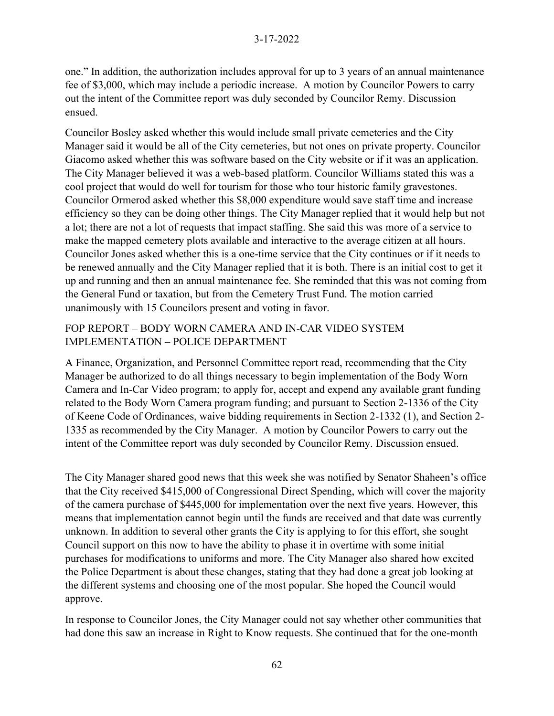one." In addition, the authorization includes approval for up to 3 years of an annual maintenance fee of \$3,000, which may include a periodic increase. A motion by Councilor Powers to carry out the intent of the Committee report was duly seconded by Councilor Remy. Discussion ensued.

Councilor Bosley asked whether this would include small private cemeteries and the City Manager said it would be all of the City cemeteries, but not ones on private property. Councilor Giacomo asked whether this was software based on the City website or if it was an application. The City Manager believed it was a web-based platform. Councilor Williams stated this was a cool project that would do well for tourism for those who tour historic family gravestones. Councilor Ormerod asked whether this \$8,000 expenditure would save staff time and increase efficiency so they can be doing other things. The City Manager replied that it would help but not a lot; there are not a lot of requests that impact staffing. She said this was more of a service to make the mapped cemetery plots available and interactive to the average citizen at all hours. Councilor Jones asked whether this is a one-time service that the City continues or if it needs to be renewed annually and the City Manager replied that it is both. There is an initial cost to get it up and running and then an annual maintenance fee. She reminded that this was not coming from the General Fund or taxation, but from the Cemetery Trust Fund. The motion carried unanimously with 15 Councilors present and voting in favor.

## FOP REPORT – BODY WORN CAMERA AND IN-CAR VIDEO SYSTEM IMPLEMENTATION – POLICE DEPARTMENT

A Finance, Organization, and Personnel Committee report read, recommending that the City Manager be authorized to do all things necessary to begin implementation of the Body Worn Camera and In-Car Video program; to apply for, accept and expend any available grant funding related to the Body Worn Camera program funding; and pursuant to Section 2-1336 of the City of Keene Code of Ordinances, waive bidding requirements in Section 2-1332 (1), and Section 2- 1335 as recommended by the City Manager. A motion by Councilor Powers to carry out the intent of the Committee report was duly seconded by Councilor Remy. Discussion ensued.

The City Manager shared good news that this week she was notified by Senator Shaheen's office that the City received \$415,000 of Congressional Direct Spending, which will cover the majority of the camera purchase of \$445,000 for implementation over the next five years. However, this means that implementation cannot begin until the funds are received and that date was currently unknown. In addition to several other grants the City is applying to for this effort, she sought Council support on this now to have the ability to phase it in overtime with some initial purchases for modifications to uniforms and more. The City Manager also shared how excited the Police Department is about these changes, stating that they had done a great job looking at the different systems and choosing one of the most popular. She hoped the Council would approve.

In response to Councilor Jones, the City Manager could not say whether other communities that had done this saw an increase in Right to Know requests. She continued that for the one-month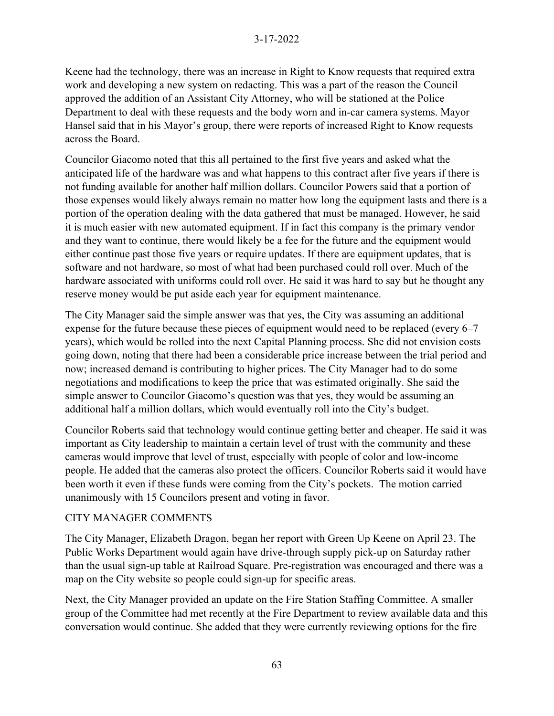Keene had the technology, there was an increase in Right to Know requests that required extra work and developing a new system on redacting. This was a part of the reason the Council approved the addition of an Assistant City Attorney, who will be stationed at the Police Department to deal with these requests and the body worn and in-car camera systems. Mayor Hansel said that in his Mayor's group, there were reports of increased Right to Know requests across the Board.

Councilor Giacomo noted that this all pertained to the first five years and asked what the anticipated life of the hardware was and what happens to this contract after five years if there is not funding available for another half million dollars. Councilor Powers said that a portion of those expenses would likely always remain no matter how long the equipment lasts and there is a portion of the operation dealing with the data gathered that must be managed. However, he said it is much easier with new automated equipment. If in fact this company is the primary vendor and they want to continue, there would likely be a fee for the future and the equipment would either continue past those five years or require updates. If there are equipment updates, that is software and not hardware, so most of what had been purchased could roll over. Much of the hardware associated with uniforms could roll over. He said it was hard to say but he thought any reserve money would be put aside each year for equipment maintenance.

The City Manager said the simple answer was that yes, the City was assuming an additional expense for the future because these pieces of equipment would need to be replaced (every 6–7 years), which would be rolled into the next Capital Planning process. She did not envision costs going down, noting that there had been a considerable price increase between the trial period and now; increased demand is contributing to higher prices. The City Manager had to do some negotiations and modifications to keep the price that was estimated originally. She said the simple answer to Councilor Giacomo's question was that yes, they would be assuming an additional half a million dollars, which would eventually roll into the City's budget.

Councilor Roberts said that technology would continue getting better and cheaper. He said it was important as City leadership to maintain a certain level of trust with the community and these cameras would improve that level of trust, especially with people of color and low-income people. He added that the cameras also protect the officers. Councilor Roberts said it would have been worth it even if these funds were coming from the City's pockets. The motion carried unanimously with 15 Councilors present and voting in favor.

### CITY MANAGER COMMENTS

The City Manager, Elizabeth Dragon, began her report with Green Up Keene on April 23. The Public Works Department would again have drive-through supply pick-up on Saturday rather than the usual sign-up table at Railroad Square. Pre-registration was encouraged and there was a map on the City website so people could sign-up for specific areas.

Next, the City Manager provided an update on the Fire Station Staffing Committee. A smaller group of the Committee had met recently at the Fire Department to review available data and this conversation would continue. She added that they were currently reviewing options for the fire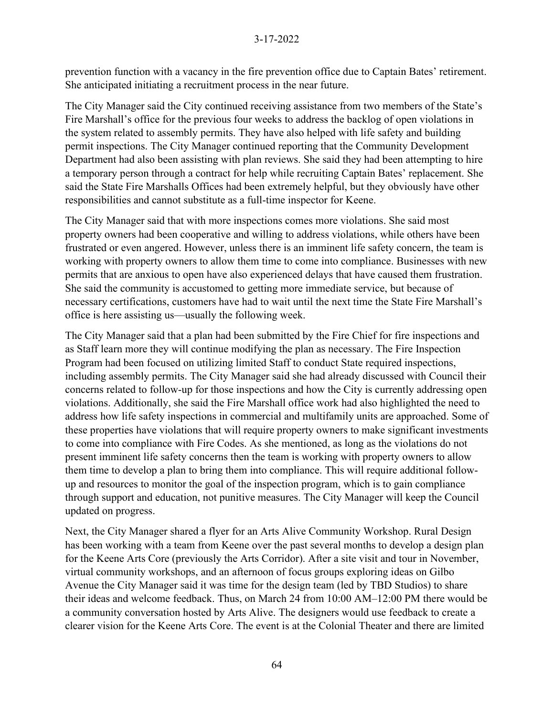prevention function with a vacancy in the fire prevention office due to Captain Bates' retirement. She anticipated initiating a recruitment process in the near future.

The City Manager said the City continued receiving assistance from two members of the State's Fire Marshall's office for the previous four weeks to address the backlog of open violations in the system related to assembly permits. They have also helped with life safety and building permit inspections. The City Manager continued reporting that the Community Development Department had also been assisting with plan reviews. She said they had been attempting to hire a temporary person through a contract for help while recruiting Captain Bates' replacement. She said the State Fire Marshalls Offices had been extremely helpful, but they obviously have other responsibilities and cannot substitute as a full-time inspector for Keene.

The City Manager said that with more inspections comes more violations. She said most property owners had been cooperative and willing to address violations, while others have been frustrated or even angered. However, unless there is an imminent life safety concern, the team is working with property owners to allow them time to come into compliance. Businesses with new permits that are anxious to open have also experienced delays that have caused them frustration. She said the community is accustomed to getting more immediate service, but because of necessary certifications, customers have had to wait until the next time the State Fire Marshall's office is here assisting us—usually the following week.

The City Manager said that a plan had been submitted by the Fire Chief for fire inspections and as Staff learn more they will continue modifying the plan as necessary. The Fire Inspection Program had been focused on utilizing limited Staff to conduct State required inspections, including assembly permits. The City Manager said she had already discussed with Council their concerns related to follow-up for those inspections and how the City is currently addressing open violations. Additionally, she said the Fire Marshall office work had also highlighted the need to address how life safety inspections in commercial and multifamily units are approached. Some of these properties have violations that will require property owners to make significant investments to come into compliance with Fire Codes. As she mentioned, as long as the violations do not present imminent life safety concerns then the team is working with property owners to allow them time to develop a plan to bring them into compliance. This will require additional followup and resources to monitor the goal of the inspection program, which is to gain compliance through support and education, not punitive measures. The City Manager will keep the Council updated on progress.

Next, the City Manager shared a flyer for an Arts Alive Community Workshop. Rural Design has been working with a team from Keene over the past several months to develop a design plan for the Keene Arts Core (previously the Arts Corridor). After a site visit and tour in November, virtual community workshops, and an afternoon of focus groups exploring ideas on Gilbo Avenue the City Manager said it was time for the design team (led by TBD Studios) to share their ideas and welcome feedback. Thus, on March 24 from 10:00 AM–12:00 PM there would be a community conversation hosted by Arts Alive. The designers would use feedback to create a clearer vision for the Keene Arts Core. The event is at the Colonial Theater and there are limited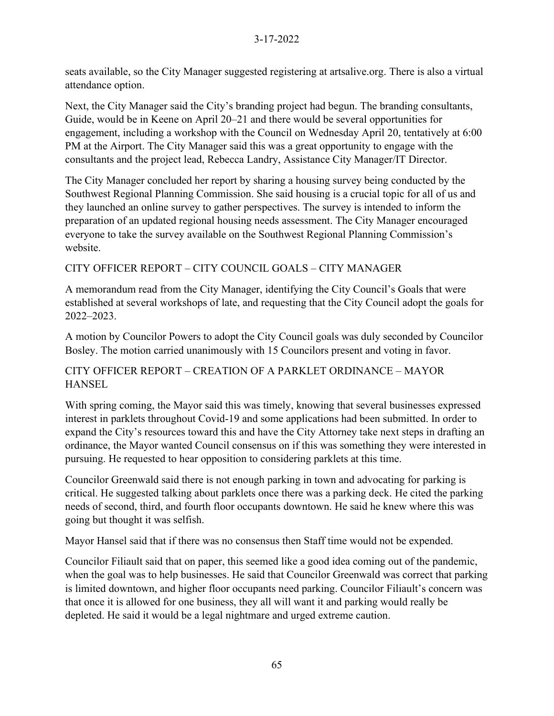seats available, so the City Manager suggested registering at artsalive.org. There is also a virtual attendance option.

Next, the City Manager said the City's branding project had begun. The branding consultants, Guide, would be in Keene on April 20–21 and there would be several opportunities for engagement, including a workshop with the Council on Wednesday April 20, tentatively at 6:00 PM at the Airport. The City Manager said this was a great opportunity to engage with the consultants and the project lead, Rebecca Landry, Assistance City Manager/IT Director.

The City Manager concluded her report by sharing a housing survey being conducted by the Southwest Regional Planning Commission. She said housing is a crucial topic for all of us and they launched an online survey to gather perspectives. The survey is intended to inform the preparation of an updated regional housing needs assessment. The City Manager encouraged everyone to take the survey available on the Southwest Regional Planning Commission's website.

# CITY OFFICER REPORT – CITY COUNCIL GOALS – CITY MANAGER

A memorandum read from the City Manager, identifying the City Council's Goals that were established at several workshops of late, and requesting that the City Council adopt the goals for 2022–2023.

A motion by Councilor Powers to adopt the City Council goals was duly seconded by Councilor Bosley. The motion carried unanimously with 15 Councilors present and voting in favor.

# CITY OFFICER REPORT – CREATION OF A PARKLET ORDINANCE – MAYOR **HANSEL**

With spring coming, the Mayor said this was timely, knowing that several businesses expressed interest in parklets throughout Covid-19 and some applications had been submitted. In order to expand the City's resources toward this and have the City Attorney take next steps in drafting an ordinance, the Mayor wanted Council consensus on if this was something they were interested in pursuing. He requested to hear opposition to considering parklets at this time.

Councilor Greenwald said there is not enough parking in town and advocating for parking is critical. He suggested talking about parklets once there was a parking deck. He cited the parking needs of second, third, and fourth floor occupants downtown. He said he knew where this was going but thought it was selfish.

Mayor Hansel said that if there was no consensus then Staff time would not be expended.

Councilor Filiault said that on paper, this seemed like a good idea coming out of the pandemic, when the goal was to help businesses. He said that Councilor Greenwald was correct that parking is limited downtown, and higher floor occupants need parking. Councilor Filiault's concern was that once it is allowed for one business, they all will want it and parking would really be depleted. He said it would be a legal nightmare and urged extreme caution.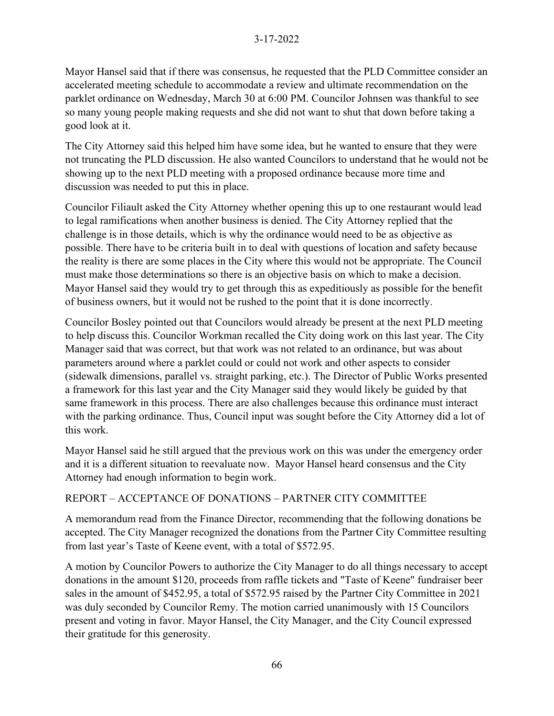Mayor Hansel said that if there was consensus, he requested that the PLD Committee consider an accelerated meeting schedule to accommodate a review and ultimate recommendation on the parklet ordinance on Wednesday, March 30 at 6:00 PM. Councilor Johnsen was thankful to see so many young people making requests and she did not want to shut that down before taking a good look at it.

The City Attorney said this helped him have some idea, but he wanted to ensure that they were not truncating the PLD discussion. He also wanted Councilors to understand that he would not be showing up to the next PLD meeting with a proposed ordinance because more time and discussion was needed to put this in place.

Councilor Filiault asked the City Attorney whether opening this up to one restaurant would lead to legal ramifications when another business is denied. The City Attorney replied that the challenge is in those details, which is why the ordinance would need to be as objective as possible. There have to be criteria built in to deal with questions of location and safety because the reality is there are some places in the City where this would not be appropriate. The Council must make those determinations so there is an objective basis on which to make a decision. Mayor Hansel said they would try to get through this as expeditiously as possible for the benefit of business owners, but it would not be rushed to the point that it is done incorrectly.

Councilor Bosley pointed out that Councilors would already be present at the next PLD meeting to help discuss this. Councilor Workman recalled the City doing work on this last year. The City Manager said that was correct, but that work was not related to an ordinance, but was about parameters around where a parklet could or could not work and other aspects to consider (sidewalk dimensions, parallel vs. straight parking, etc.). The Director of Public Works presented a framework for this last year and the City Manager said they would likely be guided by that same framework in this process. There are also challenges because this ordinance must interact with the parking ordinance. Thus, Council input was sought before the City Attorney did a lot of this work.

Mayor Hansel said he still argued that the previous work on this was under the emergency order and it is a different situation to reevaluate now. Mayor Hansel heard consensus and the City Attorney had enough information to begin work.

# REPORT – ACCEPTANCE OF DONATIONS – PARTNER CITY COMMITTEE

A memorandum read from the Finance Director, recommending that the following donations be accepted. The City Manager recognized the donations from the Partner City Committee resulting from last year's Taste of Keene event, with a total of \$572.95.

A motion by Councilor Powers to authorize the City Manager to do all things necessary to accept donations in the amount \$120, proceeds from raffle tickets and "Taste of Keene" fundraiser beer sales in the amount of \$452.95, a total of \$572.95 raised by the Partner City Committee in 2021 was duly seconded by Councilor Remy. The motion carried unanimously with 15 Councilors present and voting in favor. Mayor Hansel, the City Manager, and the City Council expressed their gratitude for this generosity.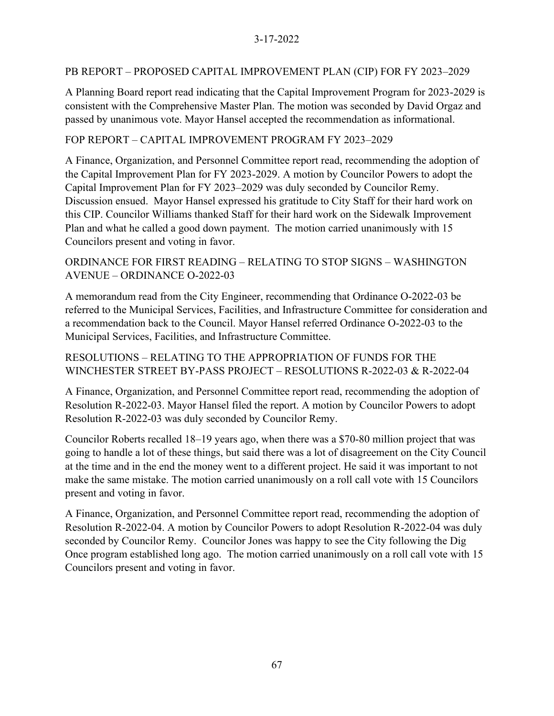### PB REPORT – PROPOSED CAPITAL IMPROVEMENT PLAN (CIP) FOR FY 2023–2029

A Planning Board report read indicating that the Capital Improvement Program for 2023-2029 is consistent with the Comprehensive Master Plan. The motion was seconded by David Orgaz and passed by unanimous vote. Mayor Hansel accepted the recommendation as informational.

### FOP REPORT – CAPITAL IMPROVEMENT PROGRAM FY 2023–2029

A Finance, Organization, and Personnel Committee report read, recommending the adoption of the Capital Improvement Plan for FY 2023-2029. A motion by Councilor Powers to adopt the Capital Improvement Plan for FY 2023–2029 was duly seconded by Councilor Remy. Discussion ensued. Mayor Hansel expressed his gratitude to City Staff for their hard work on this CIP. Councilor Williams thanked Staff for their hard work on the Sidewalk Improvement Plan and what he called a good down payment. The motion carried unanimously with 15 Councilors present and voting in favor.

## ORDINANCE FOR FIRST READING – RELATING TO STOP SIGNS – WASHINGTON AVENUE – ORDINANCE O-2022-03

A memorandum read from the City Engineer, recommending that Ordinance O-2022-03 be referred to the Municipal Services, Facilities, and Infrastructure Committee for consideration and a recommendation back to the Council. Mayor Hansel referred Ordinance O-2022-03 to the Municipal Services, Facilities, and Infrastructure Committee.

## RESOLUTIONS – RELATING TO THE APPROPRIATION OF FUNDS FOR THE WINCHESTER STREET BY-PASS PROJECT – RESOLUTIONS R-2022-03 & R-2022-04

A Finance, Organization, and Personnel Committee report read, recommending the adoption of Resolution R-2022-03. Mayor Hansel filed the report. A motion by Councilor Powers to adopt Resolution R-2022-03 was duly seconded by Councilor Remy.

Councilor Roberts recalled 18–19 years ago, when there was a \$70-80 million project that was going to handle a lot of these things, but said there was a lot of disagreement on the City Council at the time and in the end the money went to a different project. He said it was important to not make the same mistake. The motion carried unanimously on a roll call vote with 15 Councilors present and voting in favor.

A Finance, Organization, and Personnel Committee report read, recommending the adoption of Resolution R-2022-04. A motion by Councilor Powers to adopt Resolution R-2022-04 was duly seconded by Councilor Remy. Councilor Jones was happy to see the City following the Dig Once program established long ago. The motion carried unanimously on a roll call vote with 15 Councilors present and voting in favor.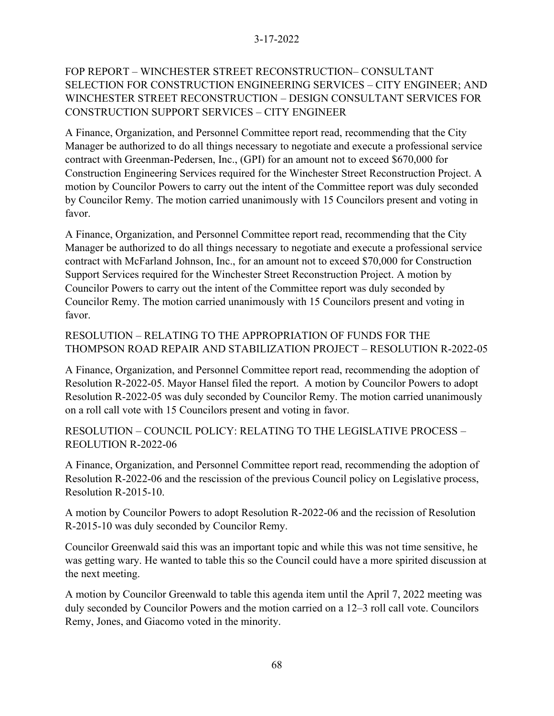# FOP REPORT – WINCHESTER STREET RECONSTRUCTION– CONSULTANT SELECTION FOR CONSTRUCTION ENGINEERING SERVICES – CITY ENGINEER; AND WINCHESTER STREET RECONSTRUCTION – DESIGN CONSULTANT SERVICES FOR CONSTRUCTION SUPPORT SERVICES – CITY ENGINEER

A Finance, Organization, and Personnel Committee report read, recommending that the City Manager be authorized to do all things necessary to negotiate and execute a professional service contract with Greenman-Pedersen, Inc., (GPI) for an amount not to exceed \$670,000 for Construction Engineering Services required for the Winchester Street Reconstruction Project. A motion by Councilor Powers to carry out the intent of the Committee report was duly seconded by Councilor Remy. The motion carried unanimously with 15 Councilors present and voting in favor.

A Finance, Organization, and Personnel Committee report read, recommending that the City Manager be authorized to do all things necessary to negotiate and execute a professional service contract with McFarland Johnson, Inc., for an amount not to exceed \$70,000 for Construction Support Services required for the Winchester Street Reconstruction Project. A motion by Councilor Powers to carry out the intent of the Committee report was duly seconded by Councilor Remy. The motion carried unanimously with 15 Councilors present and voting in favor.

# RESOLUTION – RELATING TO THE APPROPRIATION OF FUNDS FOR THE THOMPSON ROAD REPAIR AND STABILIZATION PROJECT – RESOLUTION R-2022-05

A Finance, Organization, and Personnel Committee report read, recommending the adoption of Resolution R-2022-05. Mayor Hansel filed the report. A motion by Councilor Powers to adopt Resolution R-2022-05 was duly seconded by Councilor Remy. The motion carried unanimously on a roll call vote with 15 Councilors present and voting in favor.

RESOLUTION – COUNCIL POLICY: RELATING TO THE LEGISLATIVE PROCESS – REOLUTION R-2022-06

A Finance, Organization, and Personnel Committee report read, recommending the adoption of Resolution R-2022-06 and the rescission of the previous Council policy on Legislative process, Resolution R-2015-10.

A motion by Councilor Powers to adopt Resolution R-2022-06 and the recission of Resolution R-2015-10 was duly seconded by Councilor Remy.

Councilor Greenwald said this was an important topic and while this was not time sensitive, he was getting wary. He wanted to table this so the Council could have a more spirited discussion at the next meeting.

A motion by Councilor Greenwald to table this agenda item until the April 7, 2022 meeting was duly seconded by Councilor Powers and the motion carried on a 12–3 roll call vote. Councilors Remy, Jones, and Giacomo voted in the minority.